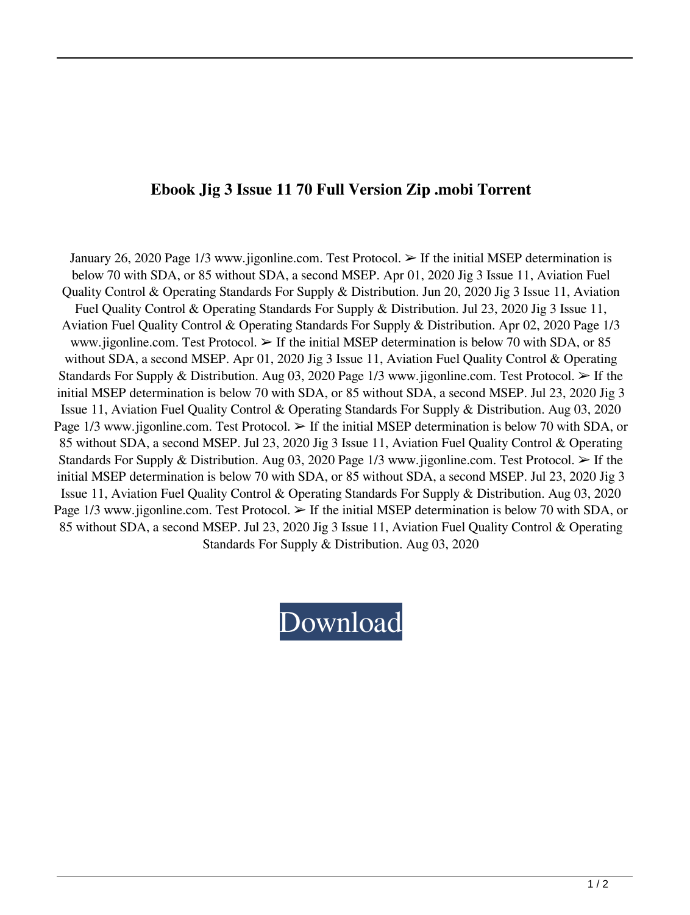## **Ebook Jig 3 Issue 11 70 Full Version Zip .mobi Torrent**

January 26, 2020 Page 1/3 www.jigonline.com. Test Protocol. ➢ If the initial MSEP determination is below 70 with SDA, or 85 without SDA, a second MSEP. Apr 01, 2020 Jig 3 Issue 11, Aviation Fuel Quality Control & Operating Standards For Supply & Distribution. Jun 20, 2020 Jig 3 Issue 11, Aviation Fuel Quality Control & Operating Standards For Supply & Distribution. Jul 23, 2020 Jig 3 Issue 11, Aviation Fuel Quality Control & Operating Standards For Supply & Distribution. Apr 02, 2020 Page 1/3 www.jigonline.com. Test Protocol.  $\triangleright$  If the initial MSEP determination is below 70 with SDA, or 85 without SDA, a second MSEP. Apr 01, 2020 Jig 3 Issue 11, Aviation Fuel Quality Control & Operating Standards For Supply & Distribution. Aug 03, 2020 Page 1/3 www.jigonline.com. Test Protocol.  $\triangleright$  If the initial MSEP determination is below 70 with SDA, or 85 without SDA, a second MSEP. Jul 23, 2020 Jig 3 Issue 11, Aviation Fuel Quality Control & Operating Standards For Supply & Distribution. Aug 03, 2020 Page  $1/3$  www.jigonline.com. Test Protocol.  $\geq$  If the initial MSEP determination is below 70 with SDA, or 85 without SDA, a second MSEP. Jul 23, 2020 Jig 3 Issue 11, Aviation Fuel Quality Control & Operating Standards For Supply & Distribution. Aug 03, 2020 Page 1/3 www.jigonline.com. Test Protocol. ➢ If the initial MSEP determination is below 70 with SDA, or 85 without SDA, a second MSEP. Jul 23, 2020 Jig 3 Issue 11, Aviation Fuel Quality Control & Operating Standards For Supply & Distribution. Aug 03, 2020 Page 1/3 www.jigonline.com. Test Protocol. ➢ If the initial MSEP determination is below 70 with SDA, or 85 without SDA, a second MSEP. Jul 23, 2020 Jig 3 Issue 11, Aviation Fuel Quality Control & Operating Standards For Supply & Distribution. Aug 03, 2020

## [Download](http://evacdir.com/additionaly/amuse/amlnIDMgaXNzdWUgMTEgcGRmIDcwaml.tipple/sissi?ZG93bmxvYWR8Ym0yTWpSbmJYeDhNVFkxTWpjME1EZzJObng4TWpVM05IeDhLRTBwSUhKbFlXUXRZbXh2WnlCYlJtRnpkQ0JIUlU1ZA&goodmann=recommenders)